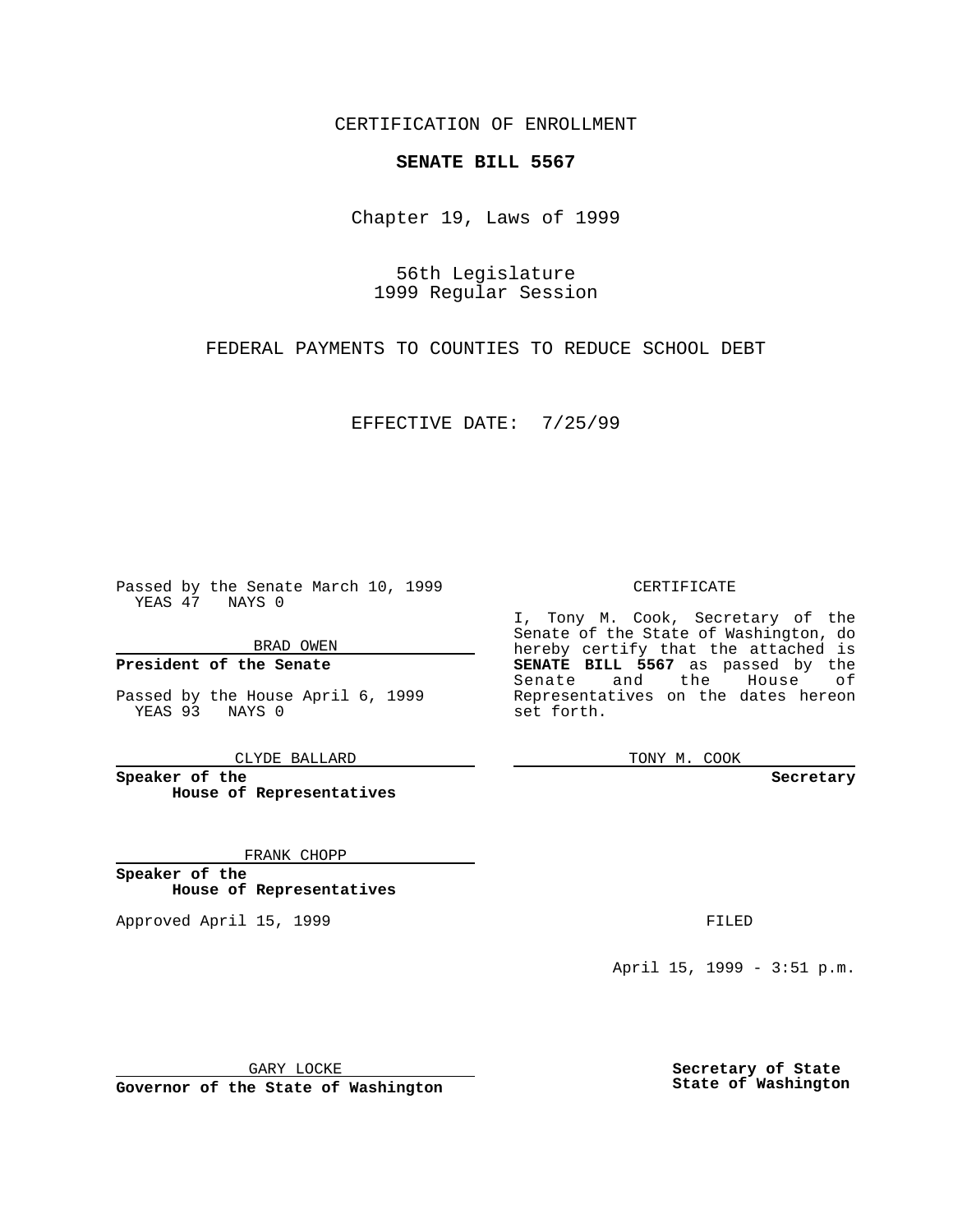CERTIFICATION OF ENROLLMENT

## **SENATE BILL 5567**

Chapter 19, Laws of 1999

56th Legislature 1999 Regular Session

FEDERAL PAYMENTS TO COUNTIES TO REDUCE SCHOOL DEBT

EFFECTIVE DATE: 7/25/99

Passed by the Senate March 10, 1999 YEAS 47 NAYS 0

BRAD OWEN

**President of the Senate**

Passed by the House April 6, 1999 YEAS 93 NAYS 0

CLYDE BALLARD

**Speaker of the House of Representatives**

FRANK CHOPP

**Speaker of the House of Representatives**

Approved April 15, 1999 **FILED** 

## CERTIFICATE

I, Tony M. Cook, Secretary of the Senate of the State of Washington, do hereby certify that the attached is **SENATE BILL 5567** as passed by the Senate and the House of Representatives on the dates hereon set forth.

TONY M. COOK

**Secretary**

April 15, 1999 - 3:51 p.m.

GARY LOCKE

**Governor of the State of Washington**

**Secretary of State State of Washington**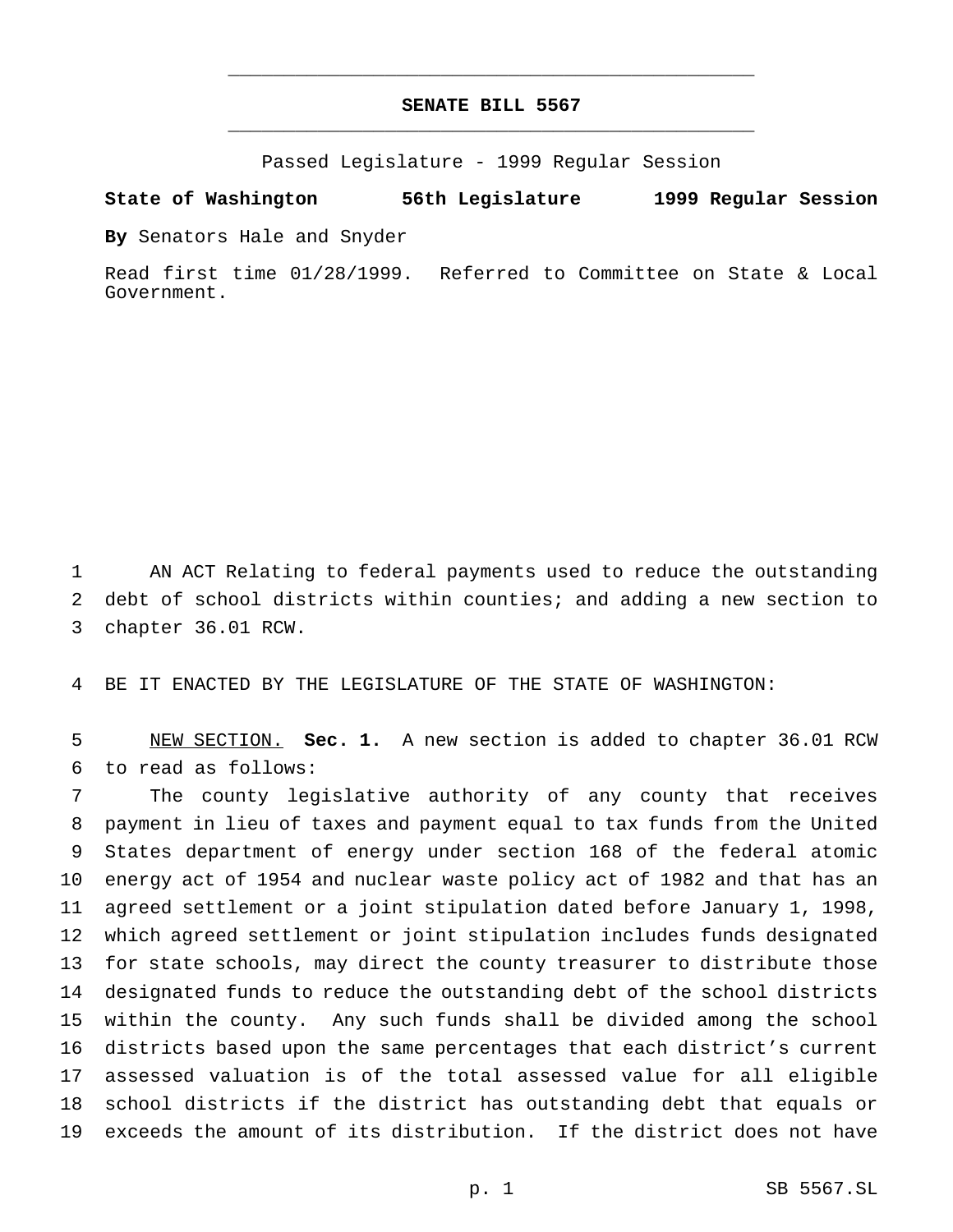## **SENATE BILL 5567** \_\_\_\_\_\_\_\_\_\_\_\_\_\_\_\_\_\_\_\_\_\_\_\_\_\_\_\_\_\_\_\_\_\_\_\_\_\_\_\_\_\_\_\_\_\_\_

\_\_\_\_\_\_\_\_\_\_\_\_\_\_\_\_\_\_\_\_\_\_\_\_\_\_\_\_\_\_\_\_\_\_\_\_\_\_\_\_\_\_\_\_\_\_\_

Passed Legislature - 1999 Regular Session

## **State of Washington 56th Legislature 1999 Regular Session**

**By** Senators Hale and Snyder

Read first time 01/28/1999. Referred to Committee on State & Local Government.

 AN ACT Relating to federal payments used to reduce the outstanding debt of school districts within counties; and adding a new section to chapter 36.01 RCW.

BE IT ENACTED BY THE LEGISLATURE OF THE STATE OF WASHINGTON:

 NEW SECTION. **Sec. 1.** A new section is added to chapter 36.01 RCW to read as follows:

 The county legislative authority of any county that receives payment in lieu of taxes and payment equal to tax funds from the United States department of energy under section 168 of the federal atomic energy act of 1954 and nuclear waste policy act of 1982 and that has an agreed settlement or a joint stipulation dated before January 1, 1998, which agreed settlement or joint stipulation includes funds designated for state schools, may direct the county treasurer to distribute those designated funds to reduce the outstanding debt of the school districts within the county. Any such funds shall be divided among the school districts based upon the same percentages that each district's current assessed valuation is of the total assessed value for all eligible school districts if the district has outstanding debt that equals or exceeds the amount of its distribution. If the district does not have